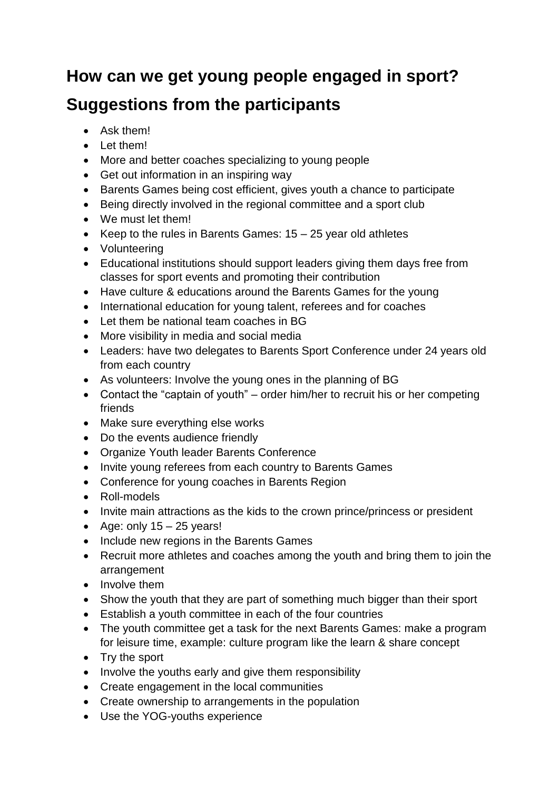## **How can we get young people engaged in sport? Suggestions from the participants**

- Ask them!
- Let them!
- More and better coaches specializing to young people
- Get out information in an inspiring way
- Barents Games being cost efficient, gives youth a chance to participate
- Being directly involved in the regional committee and a sport club
- We must let them!
- Exercise Keep to the rules in Barents Games:  $15 25$  year old athletes
- Volunteering
- Educational institutions should support leaders giving them days free from classes for sport events and promoting their contribution
- Have culture & educations around the Barents Games for the young
- International education for young talent, referees and for coaches
- Let them be national team coaches in BG
- More visibility in media and social media
- Leaders: have two delegates to Barents Sport Conference under 24 years old from each country
- As volunteers: Involve the young ones in the planning of BG
- Contact the "captain of youth" order him/her to recruit his or her competing friends
- Make sure everything else works
- Do the events audience friendly
- Organize Youth leader Barents Conference
- Invite young referees from each country to Barents Games
- Conference for young coaches in Barents Region
- Roll-models
- Invite main attractions as the kids to the crown prince/princess or president
- Age: only  $15 25$  years!
- Include new regions in the Barents Games
- Recruit more athletes and coaches among the youth and bring them to join the arrangement
- Involve them
- Show the youth that they are part of something much bigger than their sport
- Establish a youth committee in each of the four countries
- The youth committee get a task for the next Barents Games: make a program for leisure time, example: culture program like the learn & share concept
- Try the sport
- Involve the youths early and give them responsibility
- Create engagement in the local communities
- Create ownership to arrangements in the population
- Use the YOG-youths experience